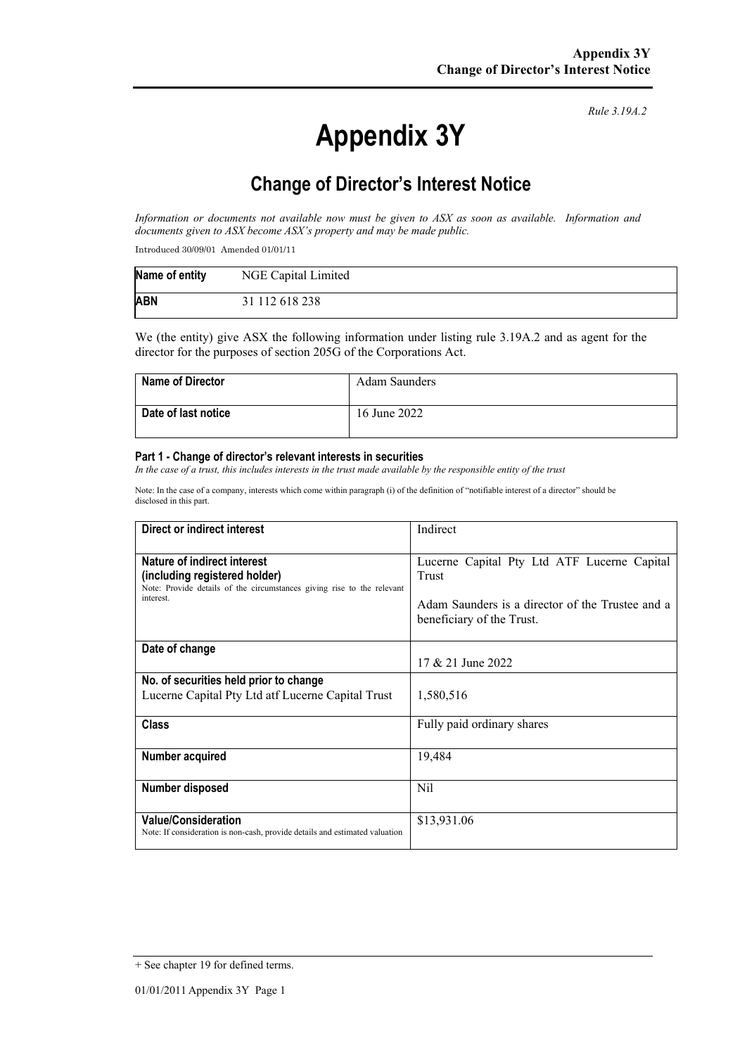# **Appendix 3Y**

*Rule 3.19A.2*

# **Change of Director's Interest Notice**

*Information or documents not available now must be given to ASX as soon as available. Information and documents given to ASX become ASX's property and may be made public.*

Introduced 30/09/01 Amended 01/01/11

| Name of entity | NGE Capital Limited |
|----------------|---------------------|
| <b>ABN</b>     | 31 112 618 238      |

We (the entity) give ASX the following information under listing rule 3.19A.2 and as agent for the director for the purposes of section 205G of the Corporations Act.

| <b>Name of Director</b> | Adam Saunders |
|-------------------------|---------------|
| Date of last notice     | 16 June 2022  |

#### **Part 1 - Change of director's relevant interests in securities**

*In the case of a trust, this includes interests in the trust made available by the responsible entity of the trust*

Note: In the case of a company, interests which come within paragraph (i) of the definition of "notifiable interest of a director" should be disclosed in this part.

| Direct or indirect interest                                                                                                                         | Indirect                                                                                                                              |  |
|-----------------------------------------------------------------------------------------------------------------------------------------------------|---------------------------------------------------------------------------------------------------------------------------------------|--|
| Nature of indirect interest<br>(including registered holder)<br>Note: Provide details of the circumstances giving rise to the relevant<br>interest. | Lucerne Capital Pty Ltd ATF Lucerne Capital<br>Trust<br>Adam Saunders is a director of the Trustee and a<br>beneficiary of the Trust. |  |
| Date of change                                                                                                                                      | 17 & 21 June 2022                                                                                                                     |  |
| No. of securities held prior to change<br>Lucerne Capital Pty Ltd atf Lucerne Capital Trust                                                         | 1,580,516                                                                                                                             |  |
| Class                                                                                                                                               | Fully paid ordinary shares                                                                                                            |  |
| <b>Number acquired</b>                                                                                                                              | 19,484                                                                                                                                |  |
| Number disposed                                                                                                                                     | Nil                                                                                                                                   |  |
| <b>Value/Consideration</b><br>Note: If consideration is non-cash, provide details and estimated valuation                                           | \$13,931.06                                                                                                                           |  |

<sup>+</sup> See chapter 19 for defined terms.